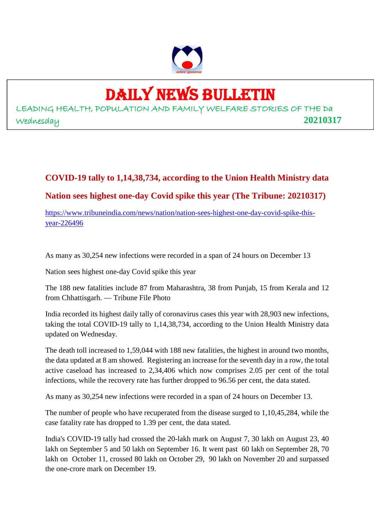

## DAILY NEWS BULLETIN

LEADING HEALTH, POPULATION AND FAMILY WELFARE STORIES OF THE Da Wednesday **20210317**

### **COVID-19 tally to 1,14,38,734, according to the Union Health Ministry data Nation sees highest one-day Covid spike this year (The Tribune: 20210317)**

https://www.tribuneindia.com/news/nation/nation-sees-highest-one-day-covid-spike-thisyear-226496

As many as 30,254 new infections were recorded in a span of 24 hours on December 13

Nation sees highest one-day Covid spike this year

The 188 new fatalities include 87 from Maharashtra, 38 from Punjab, 15 from Kerala and 12 from Chhattisgarh. — Tribune File Photo

India recorded its highest daily tally of coronavirus cases this year with 28,903 new infections, taking the total COVID-19 tally to 1,14,38,734, according to the Union Health Ministry data updated on Wednesday.

The death toll increased to 1,59,044 with 188 new fatalities, the highest in around two months, the data updated at 8 am showed. Registering an increase for the seventh day in a row, the total active caseload has increased to 2,34,406 which now comprises 2.05 per cent of the total infections, while the recovery rate has further dropped to 96.56 per cent, the data stated.

As many as 30,254 new infections were recorded in a span of 24 hours on December 13.

The number of people who have recuperated from the disease surged to 1,10,45,284, while the case fatality rate has dropped to 1.39 per cent, the data stated.

India's COVID-19 tally had crossed the 20-lakh mark on August 7, 30 lakh on August 23, 40 lakh on September 5 and 50 lakh on September 16. It went past 60 lakh on September 28, 70 lakh on October 11, crossed 80 lakh on October 29, 90 lakh on November 20 and surpassed the one-crore mark on December 19.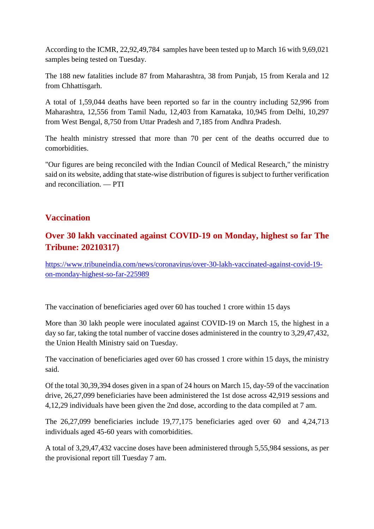According to the ICMR, 22,92,49,784 samples have been tested up to March 16 with 9,69,021 samples being tested on Tuesday.

The 188 new fatalities include 87 from Maharashtra, 38 from Punjab, 15 from Kerala and 12 from Chhattisgarh.

A total of 1,59,044 deaths have been reported so far in the country including 52,996 from Maharashtra, 12,556 from Tamil Nadu, 12,403 from Karnataka, 10,945 from Delhi, 10,297 from West Bengal, 8,750 from Uttar Pradesh and 7,185 from Andhra Pradesh.

The health ministry stressed that more than 70 per cent of the deaths occurred due to comorbidities.

"Our figures are being reconciled with the Indian Council of Medical Research," the ministry said on its website, adding that state-wise distribution of figures is subject to further verification and reconciliation. — PTI

#### **Vaccination**

#### **Over 30 lakh vaccinated against COVID-19 on Monday, highest so far The Tribune: 20210317)**

https://www.tribuneindia.com/news/coronavirus/over-30-lakh-vaccinated-against-covid-19 on-monday-highest-so-far-225989

The vaccination of beneficiaries aged over 60 has touched 1 crore within 15 days

More than 30 lakh people were inoculated against COVID-19 on March 15, the highest in a day so far, taking the total number of vaccine doses administered in the country to 3,29,47,432, the Union Health Ministry said on Tuesday.

The vaccination of beneficiaries aged over 60 has crossed 1 crore within 15 days, the ministry said.

Of the total 30,39,394 doses given in a span of 24 hours on March 15, day-59 of the vaccination drive, 26,27,099 beneficiaries have been administered the 1st dose across 42,919 sessions and 4,12,29 individuals have been given the 2nd dose, according to the data compiled at 7 am.

The 26,27,099 beneficiaries include 19,77,175 beneficiaries aged over 60 and 4,24,713 individuals aged 45-60 years with comorbidities.

A total of 3,29,47,432 vaccine doses have been administered through 5,55,984 sessions, as per the provisional report till Tuesday 7 am.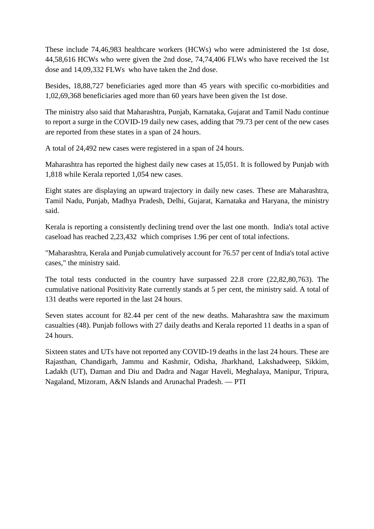These include 74,46,983 healthcare workers (HCWs) who were administered the 1st dose, 44,58,616 HCWs who were given the 2nd dose, 74,74,406 FLWs who have received the 1st dose and 14,09,332 FLWs who have taken the 2nd dose.

Besides, 18,88,727 beneficiaries aged more than 45 years with specific co-morbidities and 1,02,69,368 beneficiaries aged more than 60 years have been given the 1st dose.

The ministry also said that Maharashtra, Punjab, Karnataka, Gujarat and Tamil Nadu continue to report a surge in the COVID-19 daily new cases, adding that 79.73 per cent of the new cases are reported from these states in a span of 24 hours.

A total of 24,492 new cases were registered in a span of 24 hours.

Maharashtra has reported the highest daily new cases at 15,051. It is followed by Punjab with 1,818 while Kerala reported 1,054 new cases.

Eight states are displaying an upward trajectory in daily new cases. These are Maharashtra, Tamil Nadu, Punjab, Madhya Pradesh, Delhi, Gujarat, Karnataka and Haryana, the ministry said.

Kerala is reporting a consistently declining trend over the last one month. India's total active caseload has reached 2,23,432 which comprises 1.96 per cent of total infections.

"Maharashtra, Kerala and Punjab cumulatively account for 76.57 per cent of India's total active cases," the ministry said.

The total tests conducted in the country have surpassed 22.8 crore (22,82,80,763). The cumulative national Positivity Rate currently stands at 5 per cent, the ministry said. A total of 131 deaths were reported in the last 24 hours.

Seven states account for 82.44 per cent of the new deaths. Maharashtra saw the maximum casualties (48). Punjab follows with 27 daily deaths and Kerala reported 11 deaths in a span of 24 hours.

Sixteen states and UTs have not reported any COVID-19 deaths in the last 24 hours. These are Rajasthan, Chandigarh, Jammu and Kashmir, Odisha, Jharkhand, Lakshadweep, Sikkim, Ladakh (UT), Daman and Diu and Dadra and Nagar Haveli, Meghalaya, Manipur, Tripura, Nagaland, Mizoram, A&N Islands and Arunachal Pradesh. — PTI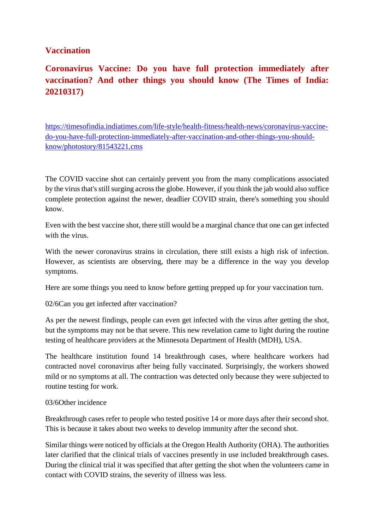#### **Vaccination**

**Coronavirus Vaccine: Do you have full protection immediately after vaccination? And other things you should know (The Times of India: 20210317)**

https://timesofindia.indiatimes.com/life-style/health-fitness/health-news/coronavirus-vaccinedo-you-have-full-protection-immediately-after-vaccination-and-other-things-you-shouldknow/photostory/81543221.cms

The COVID vaccine shot can certainly prevent you from the many complications associated by the virus that's still surging across the globe. However, if you think the jab would also suffice complete protection against the newer, deadlier COVID strain, there's something you should know.

Even with the best vaccine shot, there still would be a marginal chance that one can get infected with the virus.

With the newer coronavirus strains in circulation, there still exists a high risk of infection. However, as scientists are observing, there may be a difference in the way you develop symptoms.

Here are some things you need to know before getting prepped up for your vaccination turn.

02/6Can you get infected after vaccination?

As per the newest findings, people can even get infected with the virus after getting the shot, but the symptoms may not be that severe. This new revelation came to light during the routine testing of healthcare providers at the Minnesota Department of Health (MDH), USA.

The healthcare institution found 14 breakthrough cases, where healthcare workers had contracted novel coronavirus after being fully vaccinated. Surprisingly, the workers showed mild or no symptoms at all. The contraction was detected only because they were subjected to routine testing for work.

#### 03/6Other incidence

Breakthrough cases refer to people who tested positive 14 or more days after their second shot. This is because it takes about two weeks to develop immunity after the second shot.

Similar things were noticed by officials at the Oregon Health Authority (OHA). The authorities later clarified that the clinical trials of vaccines presently in use included breakthrough cases. During the clinical trial it was specified that after getting the shot when the volunteers came in contact with COVID strains, the severity of illness was less.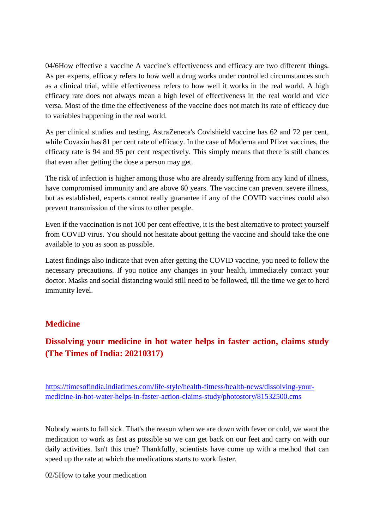04/6How effective a vaccine A vaccine's effectiveness and efficacy are two different things. As per experts, efficacy refers to how well a drug works under controlled circumstances such as a clinical trial, while effectiveness refers to how well it works in the real world. A high efficacy rate does not always mean a high level of effectiveness in the real world and vice versa. Most of the time the effectiveness of the vaccine does not match its rate of efficacy due to variables happening in the real world.

As per clinical studies and testing, AstraZeneca's Covishield vaccine has 62 and 72 per cent, while Covaxin has 81 per cent rate of efficacy. In the case of Moderna and Pfizer vaccines, the efficacy rate is 94 and 95 per cent respectively. This simply means that there is still chances that even after getting the dose a person may get.

The risk of infection is higher among those who are already suffering from any kind of illness, have compromised immunity and are above 60 years. The vaccine can prevent severe illness, but as established, experts cannot really guarantee if any of the COVID vaccines could also prevent transmission of the virus to other people.

Even if the vaccination is not 100 per cent effective, it is the best alternative to protect yourself from COVID virus. You should not hesitate about getting the vaccine and should take the one available to you as soon as possible.

Latest findings also indicate that even after getting the COVID vaccine, you need to follow the necessary precautions. If you notice any changes in your health, immediately contact your doctor. Masks and social distancing would still need to be followed, till the time we get to herd immunity level.

#### **Medicine**

#### **Dissolving your medicine in hot water helps in faster action, claims study (The Times of India: 20210317)**

https://timesofindia.indiatimes.com/life-style/health-fitness/health-news/dissolving-yourmedicine-in-hot-water-helps-in-faster-action-claims-study/photostory/81532500.cms

Nobody wants to fall sick. That's the reason when we are down with fever or cold, we want the medication to work as fast as possible so we can get back on our feet and carry on with our daily activities. Isn't this true? Thankfully, scientists have come up with a method that can speed up the rate at which the medications starts to work faster.

02/5How to take your medication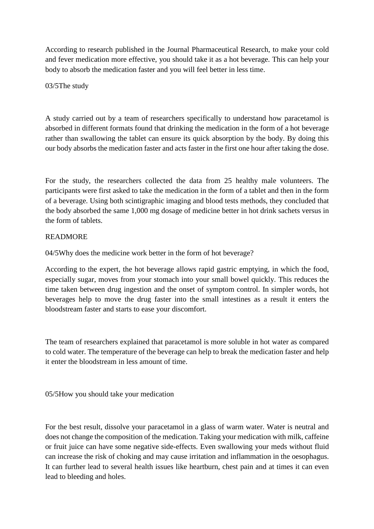According to research published in the Journal Pharmaceutical Research, to make your cold and fever medication more effective, you should take it as a hot beverage. This can help your body to absorb the medication faster and you will feel better in less time.

03/5The study

A study carried out by a team of researchers specifically to understand how paracetamol is absorbed in different formats found that drinking the medication in the form of a hot beverage rather than swallowing the tablet can ensure its quick absorption by the body. By doing this our body absorbs the medication faster and acts faster in the first one hour after taking the dose.

For the study, the researchers collected the data from 25 healthy male volunteers. The participants were first asked to take the medication in the form of a tablet and then in the form of a beverage. Using both scintigraphic imaging and blood tests methods, they concluded that the body absorbed the same 1,000 mg dosage of medicine better in hot drink sachets versus in the form of tablets.

#### READMORE

04/5Why does the medicine work better in the form of hot beverage?

According to the expert, the hot beverage allows rapid gastric emptying, in which the food, especially sugar, moves from your stomach into your small bowel quickly. This reduces the time taken between drug ingestion and the onset of symptom control. In simpler words, hot beverages help to move the drug faster into the small intestines as a result it enters the bloodstream faster and starts to ease your discomfort.

The team of researchers explained that paracetamol is more soluble in hot water as compared to cold water. The temperature of the beverage can help to break the medication faster and help it enter the bloodstream in less amount of time.

05/5How you should take your medication

For the best result, dissolve your paracetamol in a glass of warm water. Water is neutral and does not change the composition of the medication. Taking your medication with milk, caffeine or fruit juice can have some negative side-effects. Even swallowing your meds without fluid can increase the risk of choking and may cause irritation and inflammation in the oesophagus. It can further lead to several health issues like heartburn, chest pain and at times it can even lead to bleeding and holes.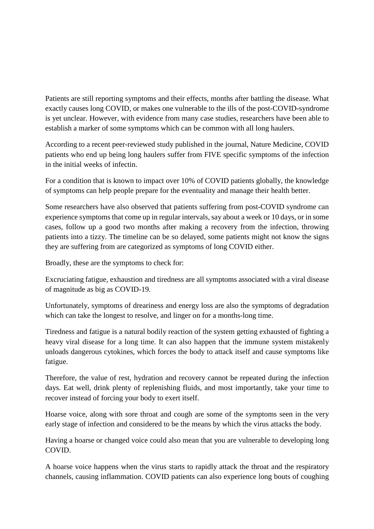Patients are still reporting symptoms and their effects, months after battling the disease. What exactly causes long COVID, or makes one vulnerable to the ills of the post-COVID-syndrome is yet unclear. However, with evidence from many case studies, researchers have been able to establish a marker of some symptoms which can be common with all long haulers.

According to a recent peer-reviewed study published in the journal, Nature Medicine, COVID patients who end up being long haulers suffer from FIVE specific symptoms of the infection in the initial weeks of infectin.

For a condition that is known to impact over 10% of COVID patients globally, the knowledge of symptoms can help people prepare for the eventuality and manage their health better.

Some researchers have also observed that patients suffering from post-COVID syndrome can experience symptoms that come up in regular intervals, say about a week or 10 days, or in some cases, follow up a good two months after making a recovery from the infection, throwing patients into a tizzy. The timeline can be so delayed, some patients might not know the signs they are suffering from are categorized as symptoms of long COVID either.

Broadly, these are the symptoms to check for:

Excruciating fatigue, exhaustion and tiredness are all symptoms associated with a viral disease of magnitude as big as COVID-19.

Unfortunately, symptoms of dreariness and energy loss are also the symptoms of degradation which can take the longest to resolve, and linger on for a months-long time.

Tiredness and fatigue is a natural bodily reaction of the system getting exhausted of fighting a heavy viral disease for a long time. It can also happen that the immune system mistakenly unloads dangerous cytokines, which forces the body to attack itself and cause symptoms like fatigue.

Therefore, the value of rest, hydration and recovery cannot be repeated during the infection days. Eat well, drink plenty of replenishing fluids, and most importantly, take your time to recover instead of forcing your body to exert itself.

Hoarse voice, along with sore throat and cough are some of the symptoms seen in the very early stage of infection and considered to be the means by which the virus attacks the body.

Having a hoarse or changed voice could also mean that you are vulnerable to developing long COVID.

A hoarse voice happens when the virus starts to rapidly attack the throat and the respiratory channels, causing inflammation. COVID patients can also experience long bouts of coughing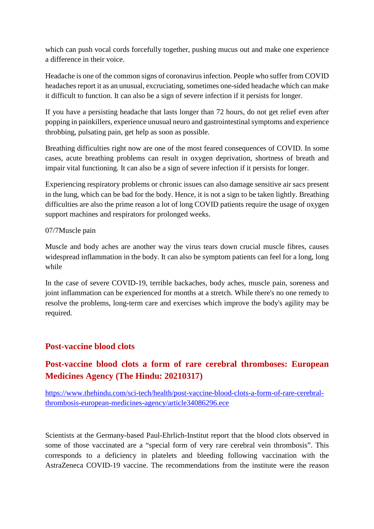which can push vocal cords forcefully together, pushing mucus out and make one experience a difference in their voice.

Headache is one of the common signs of coronavirus infection. People who suffer from COVID headaches report it as an unusual, excruciating, sometimes one-sided headache which can make it difficult to function. It can also be a sign of severe infection if it persists for longer.

If you have a persisting headache that lasts longer than 72 hours, do not get relief even after popping in painkillers, experience unusual neuro and gastrointestinal symptoms and experience throbbing, pulsating pain, get help as soon as possible.

Breathing difficulties right now are one of the most feared consequences of COVID. In some cases, acute breathing problems can result in oxygen deprivation, shortness of breath and impair vital functioning. It can also be a sign of severe infection if it persists for longer.

Experiencing respiratory problems or chronic issues can also damage sensitive air sacs present in the lung, which can be bad for the body. Hence, it is not a sign to be taken lightly. Breathing difficulties are also the prime reason a lot of long COVID patients require the usage of oxygen support machines and respirators for prolonged weeks.

#### 07/7Muscle pain

Muscle and body aches are another way the virus tears down crucial muscle fibres, causes widespread inflammation in the body. It can also be symptom patients can feel for a long, long while

In the case of severe COVID-19, terrible backaches, body aches, muscle pain, soreness and joint inflammation can be experienced for months at a stretch. While there's no one remedy to resolve the problems, long-term care and exercises which improve the body's agility may be required.

#### **Post-vaccine blood clots**

#### **Post-vaccine blood clots a form of rare cerebral thromboses: European Medicines Agency (The Hindu: 20210317)**

https://www.thehindu.com/sci-tech/health/post-vaccine-blood-clots-a-form-of-rare-cerebralthrombosis-european-medicines-agency/article34086296.ece

Scientists at the Germany-based Paul-Ehrlich-Institut report that the blood clots observed in some of those vaccinated are a "special form of very rare cerebral vein thrombosis". This corresponds to a deficiency in platelets and bleeding following vaccination with the AstraZeneca COVID-19 vaccine. The recommendations from the institute were the reason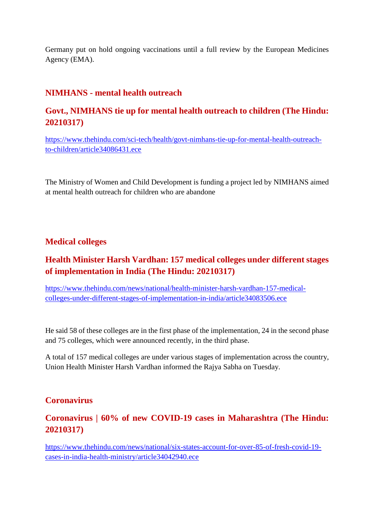Germany put on hold ongoing vaccinations until a full review by the European Medicines Agency (EMA).

#### **NIMHANS - mental health outreach**

#### **Govt., NIMHANS tie up for mental health outreach to children (The Hindu: 20210317)**

https://www.thehindu.com/sci-tech/health/govt-nimhans-tie-up-for-mental-health-outreachto-children/article34086431.ece

The Ministry of Women and Child Development is funding a project led by NIMHANS aimed at mental health outreach for children who are abandone

#### **Medical colleges**

#### **Health Minister Harsh Vardhan: 157 medical colleges under different stages of implementation in India (The Hindu: 20210317)**

https://www.thehindu.com/news/national/health-minister-harsh-vardhan-157-medicalcolleges-under-different-stages-of-implementation-in-india/article34083506.ece

He said 58 of these colleges are in the first phase of the implementation, 24 in the second phase and 75 colleges, which were announced recently, in the third phase.

A total of 157 medical colleges are under various stages of implementation across the country, Union Health Minister Harsh Vardhan informed the Rajya Sabha on Tuesday.

#### **Coronavirus**

#### **Coronavirus | 60% of new COVID-19 cases in Maharashtra (The Hindu: 20210317)**

https://www.thehindu.com/news/national/six-states-account-for-over-85-of-fresh-covid-19 cases-in-india-health-ministry/article34042940.ece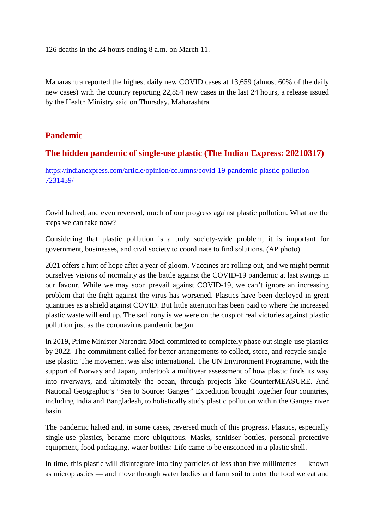126 deaths in the 24 hours ending 8 a.m. on March 11.

Maharashtra reported the highest daily new COVID cases at 13,659 (almost 60% of the daily new cases) with the country reporting 22,854 new cases in the last 24 hours, a release issued by the Health Ministry said on Thursday. Maharashtra

#### **Pandemic**

#### **The hidden pandemic of single-use plastic (The Indian Express: 20210317)**

https://indianexpress.com/article/opinion/columns/covid-19-pandemic-plastic-pollution-7231459/

Covid halted, and even reversed, much of our progress against plastic pollution. What are the steps we can take now?

Considering that plastic pollution is a truly society-wide problem, it is important for government, businesses, and civil society to coordinate to find solutions. (AP photo)

2021 offers a hint of hope after a year of gloom. Vaccines are rolling out, and we might permit ourselves visions of normality as the battle against the COVID-19 pandemic at last swings in our favour. While we may soon prevail against COVID-19, we can't ignore an increasing problem that the fight against the virus has worsened. Plastics have been deployed in great quantities as a shield against COVID. But little attention has been paid to where the increased plastic waste will end up. The sad irony is we were on the cusp of real victories against plastic pollution just as the coronavirus pandemic began.

In 2019, Prime Minister Narendra Modi committed to completely phase out single-use plastics by 2022. The commitment called for better arrangements to collect, store, and recycle singleuse plastic. The movement was also international. The UN Environment Programme, with the support of Norway and Japan, undertook a multiyear assessment of how plastic finds its way into riverways, and ultimately the ocean, through projects like CounterMEASURE. And National Geographic's "Sea to Source: Ganges" Expedition brought together four countries, including India and Bangladesh, to holistically study plastic pollution within the Ganges river basin.

The pandemic halted and, in some cases, reversed much of this progress. Plastics, especially single-use plastics, became more ubiquitous. Masks, sanitiser bottles, personal protective equipment, food packaging, water bottles: Life came to be ensconced in a plastic shell.

In time, this plastic will disintegrate into tiny particles of less than five millimetres — known as microplastics — and move through water bodies and farm soil to enter the food we eat and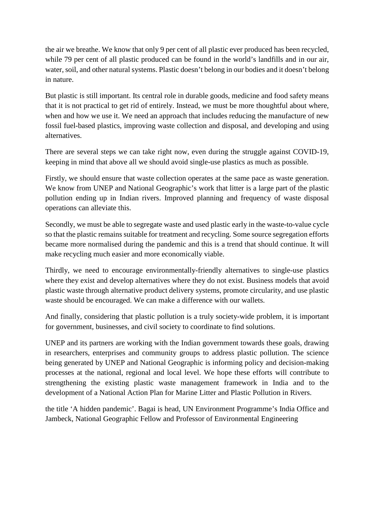the air we breathe. We know that only 9 per cent of all plastic ever produced has been recycled, while 79 per cent of all plastic produced can be found in the world's landfills and in our air, water, soil, and other natural systems. Plastic doesn't belong in our bodies and it doesn't belong in nature.

But plastic is still important. Its central role in durable goods, medicine and food safety means that it is not practical to get rid of entirely. Instead, we must be more thoughtful about where, when and how we use it. We need an approach that includes reducing the manufacture of new fossil fuel-based plastics, improving waste collection and disposal, and developing and using alternatives.

There are several steps we can take right now, even during the struggle against COVID-19, keeping in mind that above all we should avoid single-use plastics as much as possible.

Firstly, we should ensure that waste collection operates at the same pace as waste generation. We know from UNEP and National Geographic's work that litter is a large part of the plastic pollution ending up in Indian rivers. Improved planning and frequency of waste disposal operations can alleviate this.

Secondly, we must be able to segregate waste and used plastic early in the waste-to-value cycle so that the plastic remains suitable for treatment and recycling. Some source segregation efforts became more normalised during the pandemic and this is a trend that should continue. It will make recycling much easier and more economically viable.

Thirdly, we need to encourage environmentally-friendly alternatives to single-use plastics where they exist and develop alternatives where they do not exist. Business models that avoid plastic waste through alternative product delivery systems, promote circularity, and use plastic waste should be encouraged. We can make a difference with our wallets.

And finally, considering that plastic pollution is a truly society-wide problem, it is important for government, businesses, and civil society to coordinate to find solutions.

UNEP and its partners are working with the Indian government towards these goals, drawing in researchers, enterprises and community groups to address plastic pollution. The science being generated by UNEP and National Geographic is informing policy and decision-making processes at the national, regional and local level. We hope these efforts will contribute to strengthening the existing plastic waste management framework in India and to the development of a National Action Plan for Marine Litter and Plastic Pollution in Rivers.

the title 'A hidden pandemic'. Bagai is head, UN Environment Programme's India Office and Jambeck, National Geographic Fellow and Professor of Environmental Engineering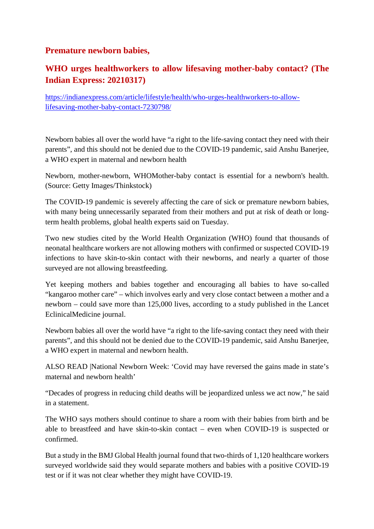#### **Premature newborn babies,**

#### **WHO urges healthworkers to allow lifesaving mother-baby contact? (The Indian Express: 20210317)**

https://indianexpress.com/article/lifestyle/health/who-urges-healthworkers-to-allowlifesaving-mother-baby-contact-7230798/

Newborn babies all over the world have "a right to the life-saving contact they need with their parents", and this should not be denied due to the COVID-19 pandemic, said Anshu Banerjee, a WHO expert in maternal and newborn health

Newborn, mother-newborn, WHOMother-baby contact is essential for a newborn's health. (Source: Getty Images/Thinkstock)

The COVID-19 pandemic is severely affecting the care of sick or premature newborn babies, with many being unnecessarily separated from their mothers and put at risk of death or longterm health problems, global health experts said on Tuesday.

Two new studies cited by the World Health Organization (WHO) found that thousands of neonatal healthcare workers are not allowing mothers with confirmed or suspected COVID-19 infections to have skin-to-skin contact with their newborns, and nearly a quarter of those surveyed are not allowing breastfeeding.

Yet keeping mothers and babies together and encouraging all babies to have so-called "kangaroo mother care" – which involves early and very close contact between a mother and a newborn – could save more than 125,000 lives, according to a study published in the Lancet EclinicalMedicine journal.

Newborn babies all over the world have "a right to the life-saving contact they need with their parents", and this should not be denied due to the COVID-19 pandemic, said Anshu Banerjee, a WHO expert in maternal and newborn health.

ALSO READ |National Newborn Week: 'Covid may have reversed the gains made in state's maternal and newborn health'

"Decades of progress in reducing child deaths will be jeopardized unless we act now," he said in a statement.

The WHO says mothers should continue to share a room with their babies from birth and be able to breastfeed and have skin-to-skin contact – even when COVID-19 is suspected or confirmed.

But a study in the BMJ Global Health journal found that two-thirds of 1,120 healthcare workers surveyed worldwide said they would separate mothers and babies with a positive COVID-19 test or if it was not clear whether they might have COVID-19.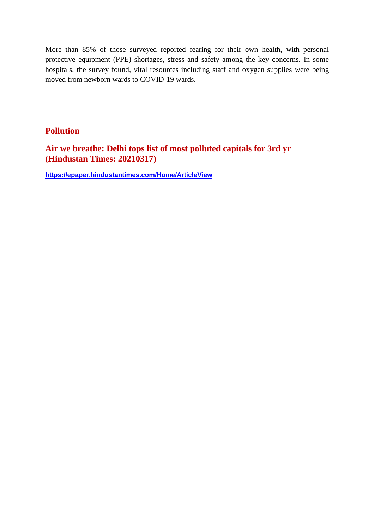More than 85% of those surveyed reported fearing for their own health, with personal protective equipment (PPE) shortages, stress and safety among the key concerns. In some hospitals, the survey found, vital resources including staff and oxygen supplies were being moved from newborn wards to COVID-19 wards.

#### **Pollution**

**Air we breathe: Delhi tops list of most polluted capitals for 3rd yr (Hindustan Times: 20210317)**

**https://epaper.hindustantimes.com/Home/ArticleView**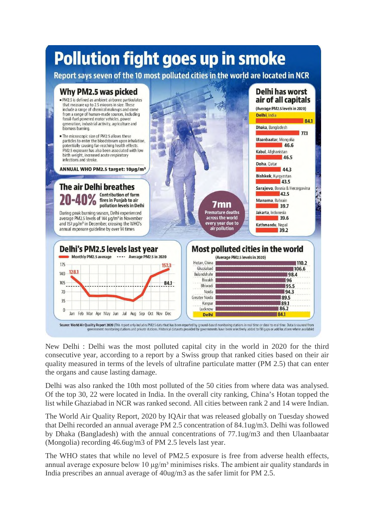## **Pollution fight goes up in smoke**

Report says seven of the 10 most polluted cities in the world are located in NCR



New Delhi : Delhi was the most polluted capital city in the world in 2020 for the third consecutive year, according to a report by a Swiss group that ranked cities based on their air quality measured in terms of the levels of ultrafine particulate matter (PM 2.5) that can enter the organs and cause lasting damage.

Delhi was also ranked the 10th most polluted of the 50 cities from where data was analysed. Of the top 30, 22 were located in India. In the overall city ranking, China's Hotan topped the list while Ghaziabad in NCR was ranked second. All cities between rank 2 and 14 were Indian.

The World Air Quality Report, 2020 by IQAir that was released globally on Tuesday showed that Delhi recorded an annual average PM 2.5 concentration of 84.1ug/m3. Delhi was followed by Dhaka (Bangladesh) with the annual concentrations of 77.1ug/m3 and then Ulaanbaatar (Mongolia) recording 46.6ug/m3 of PM 2.5 levels last year.

The WHO states that while no level of PM2.5 exposure is free from adverse health effects, annual average exposure below 10  $\mu$ g/m<sup>3</sup> minimises risks. The ambient air quality standards in India prescribes an annual average of 40ug/m3 as the safer limit for PM 2.5.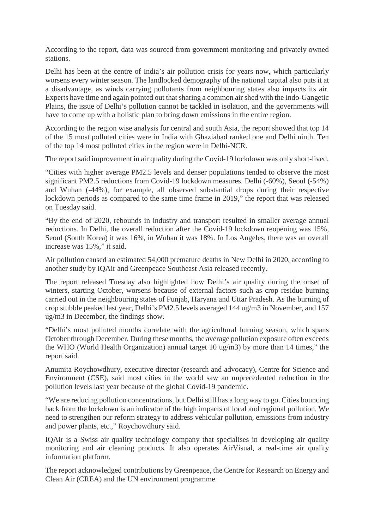According to the report, data was sourced from government monitoring and privately owned stations.

Delhi has been at the centre of India's air pollution crisis for years now, which particularly worsens every winter season. The landlocked demography of the national capital also puts it at a disadvantage, as winds carrying pollutants from neighbouring states also impacts its air. Experts have time and again pointed out that sharing a common air shed with the Indo-Gangetic Plains, the issue of Delhi's pollution cannot be tackled in isolation, and the governments will have to come up with a holistic plan to bring down emissions in the entire region.

According to the region wise analysis for central and south Asia, the report showed that top 14 of the 15 most polluted cities were in India with Ghaziabad ranked one and Delhi ninth. Ten of the top 14 most polluted cities in the region were in Delhi-NCR.

The report said improvement in air quality during the Covid-19 lockdown was only short-lived.

"Cities with higher average PM2.5 levels and denser populations tended to observe the most significant PM2.5 reductions from Covid-19 lockdown measures. Delhi (-60%), Seoul (-54%) and Wuhan (-44%), for example, all observed substantial drops during their respective lockdown periods as compared to the same time frame in 2019," the report that was released on Tuesday said.

"By the end of 2020, rebounds in industry and transport resulted in smaller average annual reductions. In Delhi, the overall reduction after the Covid-19 lockdown reopening was 15%, Seoul (South Korea) it was 16%, in Wuhan it was 18%. In Los Angeles, there was an overall increase was 15%," it said.

Air pollution caused an estimated 54,000 premature deaths in New Delhi in 2020, according to another study by IQAir and Greenpeace Southeast Asia released recently.

The report released Tuesday also highlighted how Delhi's air quality during the onset of winters, starting October, worsens because of external factors such as crop residue burning carried out in the neighbouring states of Punjab, Haryana and Uttar Pradesh. As the burning of crop stubble peaked last year, Delhi's PM2.5 levels averaged 144 ug/m3 in November, and 157 ug/m3 in December, the findings show.

"Delhi's most polluted months correlate with the agricultural burning season, which spans October through December. During these months, the average pollution exposure often exceeds the WHO (World Health Organization) annual target 10 ug/m3) by more than 14 times," the report said.

Anumita Roychowdhury, executive director (research and advocacy), Centre for Science and Environment (CSE), said most cities in the world saw an unprecedented reduction in the pollution levels last year because of the global Covid-19 pandemic.

"We are reducing pollution concentrations, but Delhi still has a long way to go. Cities bouncing back from the lockdown is an indicator of the high impacts of local and regional pollution. We need to strengthen our reform strategy to address vehicular pollution, emissions from industry and power plants, etc.," Roychowdhury said.

IQAir is a Swiss air quality technology company that specialises in developing air quality monitoring and air cleaning products. It also operates AirVisual, a real-time air quality information platform.

The report acknowledged contributions by Greenpeace, the Centre for Research on Energy and Clean Air (CREA) and the UN environment programme.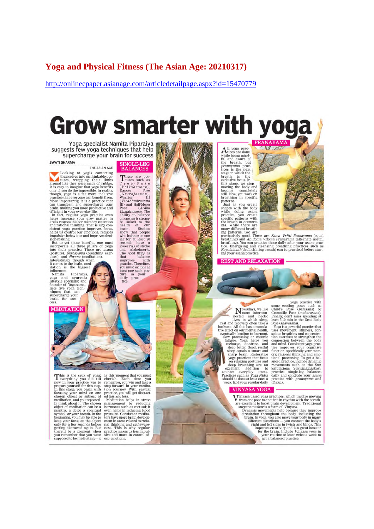#### **Yoga and Physical Fitness (The Asian Age: 20210317)**

http://onlineepaper.asianage.com/articledetailpage.aspx?id=15470779

# **Grow smarter with yoga**

Yoga specialist Namita Piparaiya suggests few yoga techniques that help supercharge your brain for success

**SWATI SHARMA** 

THE ASIAN AGE

THE ASIAN AGE INTERNATION THE ASIAN AGE the<br>messives into contring tures, wrapping their limbs around like they were made of rubber,<br>it is easy to imagine that yoga benefits of the string of the inversible. In reality<br>prod

impulsive behaviour and improves deci-<br>sion-making.<br>But to get these benefits, one must incorporate all three pillars of yoga<br>into their practice. These are assant (posture), *pranayama* (breathing exer-<br>cises), and *diyar* 

influencer.

influencer.<br>Namita Piparaiya,<br>yoga and ayurveda<br>lifestyle specialist and<br>founder of Yoganama, lists five yoga techniques that can<br>supercharge your<br>brain for success

**MEDITATION** 

# SINGLE-LEG<br>BALANCES

**BALANCES**<br>
These are pos-<br>
Tree e. Po se con as<br>
Urrikshasana),<br>
Urrikshasana,<br>
Urrikshasana,<br>
Urrikshasana,<br>
Urrikshasana,<br>
Urrikshasana,<br>
Pose (Ardha<br>
Elli) and Half-Mona<br>
Dandrasana,<br>
Pose (Ardha<br>
abhily to balance on that balance improves with<br>practice. Therefore, you must include at bou must include at<br>least one such pos-<br>ture in your<br>daily prac-

tico





PRANAYAMA





 $$\tt{yoga}$  practice with  $$\tt{N}$$  some collid's Pose (balasana) or space such as a mected and hectic on- Croodolie Pose (makarasana), invest, in which sleep, least 5-10 min in the Dead-Body sets at an recovery often take a

yoga practice with some coling poses such as<br>Child's Pose (*balasana*) or<br>Crocodile Pose (*makarasana*), Finally, don't miss spending at<br>least 5-10 min in the Dead-Body<br>Pose (*shavasana*), 'Yoga is a powerful practice tha

#### **VINYASA YOGA**

**VINTABAL TOUX**<br> **V** from a based yoga practices, which involve moving<br>
from one pose to another in rhythm with the breath,<br>
are xxellent to boost brain development. Traditional<br> *Suryanamaskar* is a form of *Vinyasa*.<br>
Dy

This is the crux of yoga; is 'this' moment that you must<br>
This is the crux of yoga; is 'this' moment that you must<br>
now in your practice was to remember, you win and take<br>
now in your meditation of the search of the stage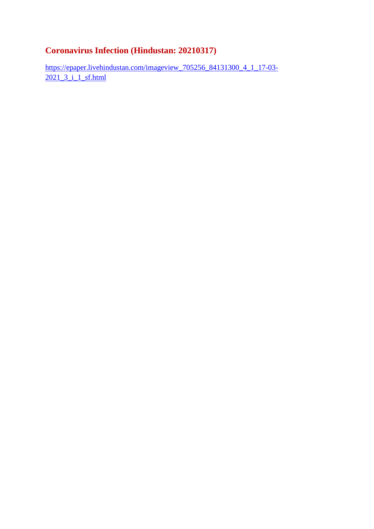### **Coronavirus Infection (Hindustan: 20210317)**

https://epaper.livehindustan.com/imageview\_705256\_84131300\_4\_1\_17-03- 2021 3 i 1 sf.html